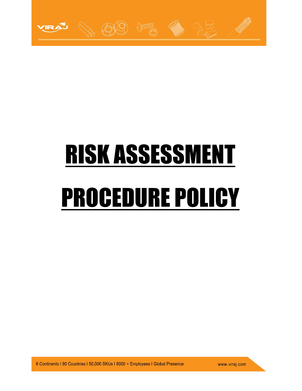

# RISK ASSESSMENT PROCEDURE POLICY

6 Continents I 90 Countries I 50,000 SKUs I 9000 + Employees I Global Presence

www.viraj.com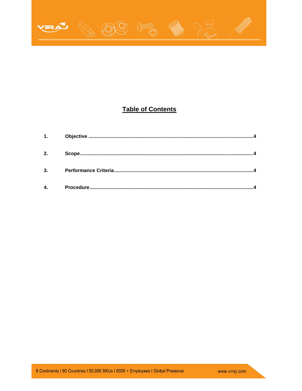

# **Table of Contents**

| 1.             |  |
|----------------|--|
| 2.             |  |
| $\overline{3}$ |  |
|                |  |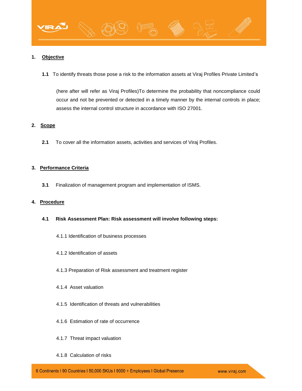<span id="page-2-0"></span>

**1.1** To identify threats those pose a risk to the information assets at Viraj Profiles Private Limited's

(here after will refer as Viraj Profiles)To determine the probability that noncompliance could occur and not be prevented or detected in a timely manner by the internal controls in place; assess the internal control structure in accordance with ISO 27001.

# **2. Scope**

**2.1** To cover all the information assets, activities and services of Viraj Profiles.

## **3. Performance Criteria**

**3.1** Finalization of management program and implementation of ISMS.

## **4. Procedure**

- **4.1 Risk Assessment Plan: Risk assessment will involve following steps:**
	- 4.1.1 Identification of business processes
	- 4.1.2 Identification of assets
	- 4.1.3 Preparation of Risk assessment and treatment register
	- 4.1.4 Asset valuation
	- 4.1.5 Identification of threats and vulnerabilities
	- 4.1.6 Estimation of rate of occurrence
	- 4.1.7 Threat impact valuation
	- 4.1.8 Calculation of risks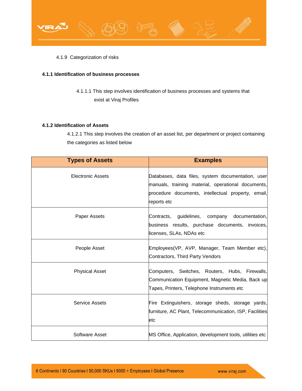

4.1.9 Categorization of risks

# **4.1.1 Identification of business processes**

4.1.1.1 This step involves identification of business processes and systems that exist at Viraj Profiles

# **4.1.2 Identification of Assets**

4.1.2.1 This step involves the creation of an asset list, per department or project containing the categories as listed below

| <b>Types of Assets</b>   | <b>Examples</b>                                                                                                                                                              |
|--------------------------|------------------------------------------------------------------------------------------------------------------------------------------------------------------------------|
| <b>Electronic Assets</b> | Databases, data files, system documentation, user<br>manuals, training material, operational documents,<br>procedure documents, intellectual property, email,<br>reports etc |
| Paper Assets             | Contracts, guidelines, company<br>documentation,<br>business results, purchase documents, invoices,<br>licenses, SLAs, NDAs etc                                              |
| People Asset             | Employees(VP, AVP, Manager, Team Member etc),<br>Contractors, Third Party Vendors                                                                                            |
| <b>Physical Asset</b>    | Computers, Switches, Routers, Hubs, Firewalls,<br>Communication Equipment, Magnetic Media, Back up<br>Tapes, Printers, Telephone Instruments etc                             |
| <b>Service Assets</b>    | Fire Extinguishers, storage sheds, storage yards,<br>furniture, AC Plant, Telecommunication, ISP, Facilities<br>etc                                                          |
| <b>Software Asset</b>    | MS Office, Application, development tools, utilities etc                                                                                                                     |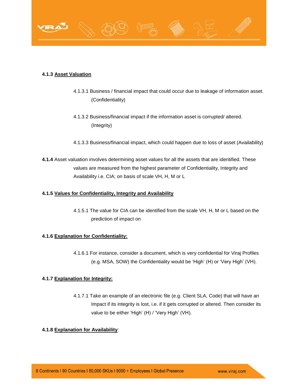

# **4.1.3 Asset Valuation**

- 4.1.3.1 Business / financial impact that could occur due to leakage of information asset. (Confidentiality)
- 4.1.3.2 Business/financial impact if the information asset is corrupted/ altered. (Integrity)
- 4.1.3.3 Business/financial impact, which could happen due to loss of asset (Availability)
- **4.1.4** Asset valuation involves determining asset values for all the assets that are identified. These values are measured from the highest parameter of Confidentiality, Integrity and Availability i.e. CIA; on basis of scale VH, H, M or L

# **4.1.5 Values for Confidentiality, Integrity and Availability**

4.1.5.1 The value for CIA can be identified from the scale VH, H, M or L based on the prediction of impact on

# **4.1.6 Explanation for Confidentiality:**

4.1.6.1 For instance, consider a document, which is very confidential for Viraj Profiles (e.g. MSA, SOW) the Confidentiality would be 'High' (H) or 'Very High' (VH).

# **4.1.7 Explanation for Integrity:**

4.1.7.1 Take an example of an electronic file (e.g. Client SLA, Code) that will have an Impact if its integrity is lost, i.e. if it gets corrupted or altered. Then consider its value to be either 'High' (H) / 'Very High' (VH).

# **4.1.8 Explanation for Availability**: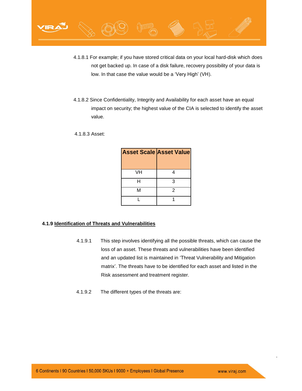

- 4.1.8.1 For example; if you have stored critical data on your local hard-disk which does not get backed up. In case of a disk failure, recovery possibility of your data is low. In that case the value would be a 'Very High' (VH).
- 4.1.8.2 Since Confidentiality, Integrity and Availability for each asset have an equal impact on security; the highest value of the CIA is selected to identify the asset value.
- 4.1.8.3 Asset:

| <b>Asset Scale Asset Value</b> |   |
|--------------------------------|---|
|                                |   |
| VH                             |   |
| н                              | З |
| м                              | 2 |
|                                |   |

# **4.1.9 Identification of Threats and Vulnerabilities**

- 4.1.9.1 This step involves identifying all the possible threats, which can cause the loss of an asset. These threats and vulnerabilities have been identified and an updated list is maintained in 'Threat Vulnerability and Mitigation matrix'. The threats have to be identified for each asset and listed in the Risk assessment and treatment register.
- 4.1.9.2 The different types of the threats are: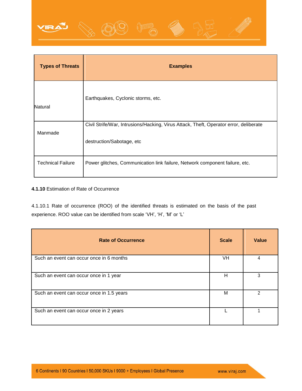

| <b>Types of Threats</b>  | <b>Examples</b>                                                                                                    |
|--------------------------|--------------------------------------------------------------------------------------------------------------------|
| Natural                  | Earthquakes, Cyclonic storms, etc.                                                                                 |
| Manmade                  | Civil Strife/War, Intrusions/Hacking, Virus Attack, Theft, Operator error, deliberate<br>destruction/Sabotage, etc |
| <b>Technical Failure</b> | Power glitches, Communication link failure, Network component failure, etc.                                        |

# **4.1.10** Estimation of Rate of Occurrence

4.1.10.1 Rate of occurrence (ROO) of the identified threats is estimated on the basis of the past experience. ROO value can be identified from scale 'VH', 'H', 'M' or 'L'

| <b>Rate of Occurrence</b>                 | <b>Scale</b> | Value |
|-------------------------------------------|--------------|-------|
| Such an event can occur once in 6 months  | VH           |       |
| Such an event can occur once in 1 year    | н            | 3     |
| Such an event can occur once in 1.5 years | M            |       |
| Such an event can occur once in 2 years   |              |       |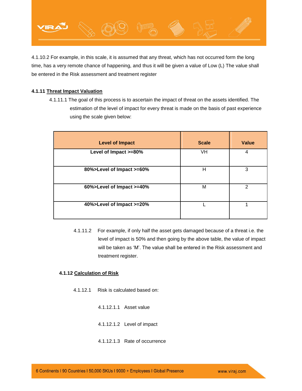

4.1.10.2 For example, in this scale, it is assumed that any threat, which has not occurred form the long time, has a very remote chance of happening, and thus it will be given a value of Low (L) The value shall be entered in the Risk assessment and treatment register

# **4.1.11 Threat Impact Valuation**

 4.1.11.1 The goal of this process is to ascertain the impact of threat on the assets identified. The estimation of the level of impact for every threat is made on the basis of past experience using the scale given below:

| <b>Level of Impact</b>    | <b>Scale</b> | Value         |
|---------------------------|--------------|---------------|
| Level of Impact >=80%     | VH           | 4             |
| 80%>Level of Impact >=60% | н            | 3             |
| 60%>Level of Impact >=40% | M            | $\mathcal{P}$ |
| 40%>Level of Impact >=20% |              | 1             |

4.1.11.2 For example, if only half the asset gets damaged because of a threat i.e. the level of impact is 50% and then going by the above table, the value of impact will be taken as 'M'. The value shall be entered in the Risk assessment and treatment register.

# **4.1.12 Calculation of Risk**

- 4.1.12.1 Risk is calculated based on:
	- 4.1.12.1.1 Asset value
	- 4.1.12.1.2 Level of impact
	- 4.1.12.1.3 Rate of occurrence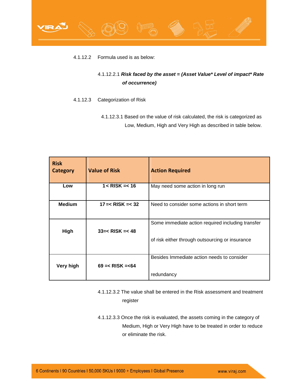

# 4.1.12.2 Formula used is as below:

# 4.1.12.2.1 *Risk faced by the asset = (Asset Value\* Level of impact\* Rate of occurrence)*

# 4.1.12.3 Categorization of Risk

4.1.12.3.1 Based on the value of risk calculated, the risk is categorized as Low, Medium, High and Very High as described in table below.

| <b>Risk</b><br><b>Category</b> | <b>Value of Risk</b>   | <b>Action Required</b>                            |
|--------------------------------|------------------------|---------------------------------------------------|
| Low                            | $1 <$ RISK = $<$ 16    | May need some action in long run                  |
| <b>Medium</b>                  | $17 = < RISK = < 32$   | Need to consider some actions in short term       |
| High                           | $33 = <$ RISK = $<$ 48 | Some immediate action required including transfer |
|                                |                        | of risk either through outsourcing or insurance   |
| Very high                      | $69 = <$ RISK $= < 64$ | Besides Immediate action needs to consider        |
|                                |                        | redundancy                                        |

- 4.1.12.3.2 The value shall be entered in the Risk assessment and treatment register
- 4.1.12.3.3 Once the risk is evaluated, the assets coming in the category of Medium, High or Very High have to be treated in order to reduce or eliminate the risk.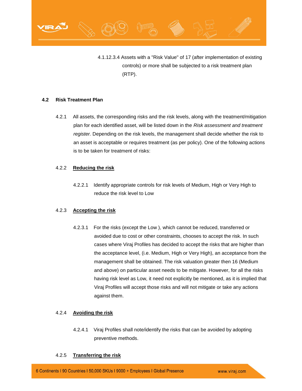

4.1.12.3.4 Assets with a "Risk Value" of 17 (after implementation of existing controls) or more shall be subjected to a risk treatment plan (RTP).

# **4.2 Risk Treatment Plan**

4.2.1 All assets, the corresponding risks and the risk levels, along with the treatment/mitigation plan for each identified asset, will be listed down in the *Risk assessment and treatment register.* Depending on the risk levels, the management shall decide whether the risk to an asset is acceptable or requires treatment (as per policy). One of the following actions is to be taken for treatment of risks:

# 4.2.2 **Reducing the risk**

4.2.2.1 Identify appropriate controls for risk levels of Medium, High or Very High to reduce the risk level to Low

# 4.2.3 **Accepting the risk**

4.2.3.1 For the risks (except the Low ), which cannot be reduced, transferred or avoided due to cost or other constraints, chooses to accept the risk. In such cases where Viraj Profiles has decided to accept the risks that are higher than the acceptance level, (i.e. Medium, High or Very High), an acceptance from the management shall be obtained. The risk valuation greater then 16 (Medium and above) on particular asset needs to be mitigate. However, for all the risks having risk level as Low, it need not explicitly be mentioned, as it is implied that Viraj Profiles will accept those risks and will not mitigate or take any actions against them.

# 4.2.4 **Avoiding the risk**

4.2.4.1 Viraj Profiles shall note/identify the risks that can be avoided by adopting preventive methods.

## 4.2.5 **Transferring the risk**